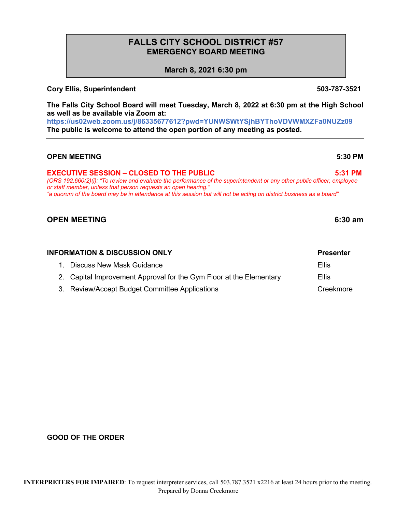# **FALLS CITY SCHOOL DISTRICT #57 EMERGENCY BOARD MEETING**

**March 8, 2021 6:30 pm**

## **Cory Ellis, Superintendent 503-787-3521**

**The Falls City School Board will meet Tuesday, March 8, 2022 at 6:30 pm at the High School as well as be available via Zoom at: https://us02web.zoom.us/j/86335677612?pwd=YUNWSWtYSjhBYThoVDVWMXZFa0NUZz09**

**The public is welcome to attend the open portion of any meeting as posted.**

## **OPEN MEETING 5:30 PM**

# **EXECUTIVE SESSION – CLOSED TO THE PUBLIC 5:31 PM**

*(ORS 192.660(2)(i): "To review and evaluate the performance of the superintendent or any other public officer, employee or staff member, unless that person requests an open hearing." "a quorum of the board may be in attendance at this session but will not be acting on district business as a board"*

# **OPEN MEETING 6:30 am**

**GOOD OF THE ORDER**

| INFORMATION & DISCUSSION ONLY |  |                                                                     | <b>Presenter</b> |
|-------------------------------|--|---------------------------------------------------------------------|------------------|
|                               |  | 1. Discuss New Mask Guidance                                        | Ellis            |
|                               |  | 2. Capital Improvement Approval for the Gym Floor at the Elementary | <b>Ellis</b>     |
|                               |  | 3. Review/Accept Budget Committee Applications                      | Creekmore        |